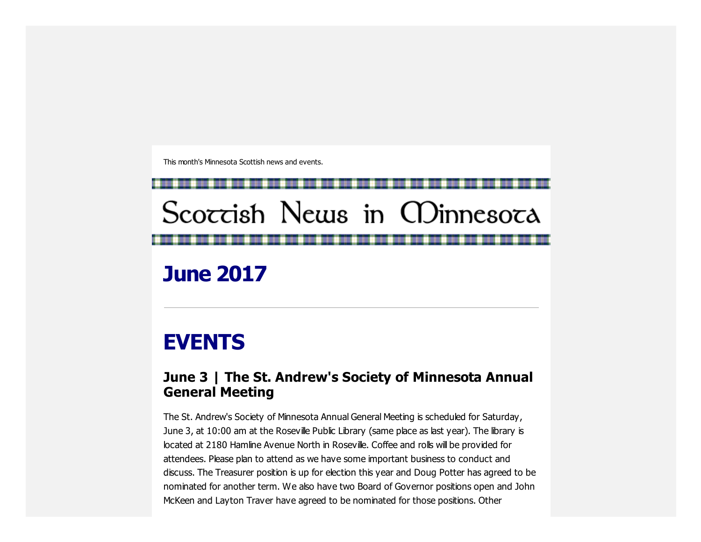This month's Minnesota Scottish news and events.

# Scoccish News in CDinnesoca

June 2017

# EVENTS

## June 3 | The St. Andrew's Society of Minnesota Annual General Meeting

The St. Andrew's Society of Minnesota Annual General Meeting is scheduled for Saturday, June 3, at 10:00 am at the Roseville Public Library (same place as last year). The library is located at 2180 Hamline Avenue North in Roseville. Coffee and rolls will be provided for attendees. Please plan to attend as we have some important business to conduct and discuss. The Treasurer position is up for election this year and Doug Potter has agreed to be nominated for another term. We also have two Board of Governor positions open and John McKeen and Layton Traver have agreed to be nominated for those positions. Other